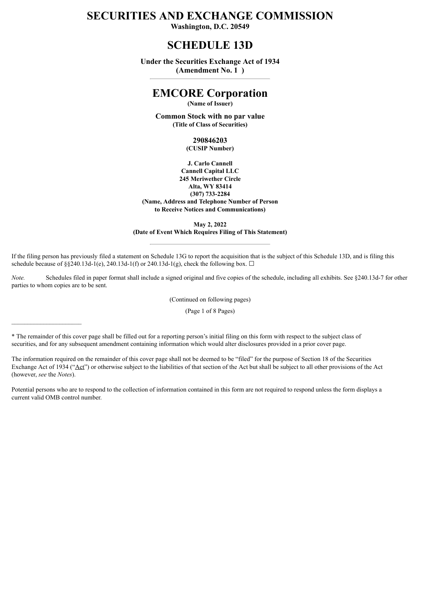## **SECURITIES AND EXCHANGE COMMISSION**

**Washington, D.C. 20549**

## **SCHEDULE 13D**

**Under the Securities Exchange Act of 1934 (Amendment No. 1 )**

## **EMCORE Corporation**

**(Name of Issuer)**

**Common Stock with no par value (Title of Class of Securities)**

> **290846203 (CUSIP Number)**

**J. Carlo Cannell Cannell Capital LLC 245 Meriwether Circle Alta, WY 83414 (307) 733-2284 (Name, Address and Telephone Number of Person to Receive Notices and Communications)**

**May 2, 2022 (Date of Event Which Requires Filing of This Statement)**

If the filing person has previously filed a statement on Schedule 13G to report the acquisition that is the subject of this Schedule 13D, and is filing this schedule because of §§240.13d-1(e), 240.13d-1(f) or 240.13d-1(g), check the following box.  $\Box$ 

*Note.* Schedules filed in paper format shall include a signed original and five copies of the schedule, including all exhibits. See §240.13d-7 for other parties to whom copies are to be sent.

(Continued on following pages)

(Page 1 of 8 Pages)

\* The remainder of this cover page shall be filled out for a reporting person's initial filing on this form with respect to the subject class of securities, and for any subsequent amendment containing information which would alter disclosures provided in a prior cover page.

The information required on the remainder of this cover page shall not be deemed to be "filed" for the purpose of Section 18 of the Securities Exchange Act of 1934 ("Act") or otherwise subject to the liabilities of that section of the Act but shall be subject to all other provisions of the Act (however, *see* the *Notes*).

Potential persons who are to respond to the collection of information contained in this form are not required to respond unless the form displays a current valid OMB control number.